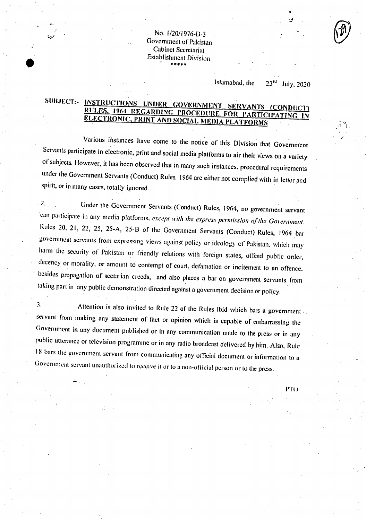No. 1/20/1976-D-3 Government of Pakistan Cabinet Secretariat Establishment Division. \*\*\*\*\*

## Islamabad, the **23rd** juiy, 2020

## SUBJECT:- **INSTRUCTIONS UNDER GOVERNMENT SERVANTS (CONDUCT)** RULES, 1964 REGARDING PROCEDURE FOR PARTICIPATING IN ELECTRONIC, PRINT AND SOCIAL MEDIA PLATFORMS **ELECTRONIC, PRINT AND SOCIAL MEDIA PLATFORMS**

Various instances have come to the notice of this Division that Government Servants participate in electronic, print and social media platforms to air their views on a variety of subjects. However, it has been observed that in many such instances, procedural requirements under the Government Servants (Conduct) Rules, 1964 arc either not complied with in letter and Spirit, or in many cases, totally ignored.

. 2. Under the Government Servants (Conduct) Rules, 1964, no government servant can participate in any media platforms, *except with the express permission of the Government*. Rules 20, 21, 22, 25, 25-A, 25-B of the Government Servants (Conduct) Rules, 1964 bar government servants from expressing views against policy or ideology of Pakistan, which may harm the security of Pakistan or friendly relations with foreign states, offend public order, decency or morality, or amount to contempt of court, defamation or incitement to an offence. besides propagation of sectarian creeds, and also places a bar on government servants from taking part in any public demonstration directed against a government decision or policy.

3. Attention is also invited to Rule 22 of the Rules Ibid which bars a government servant from making any statement of fact or opinion which is capable of embarrassing the Government in any document published or in any communication made to the press or in any public utterance or television programme or in any radio broadcast delivered by him. Also, Rule 18 bars the government servant from communicating any official document or information to a Government servant unauthorized to receive it or to a non-official person or to the press.

PT()